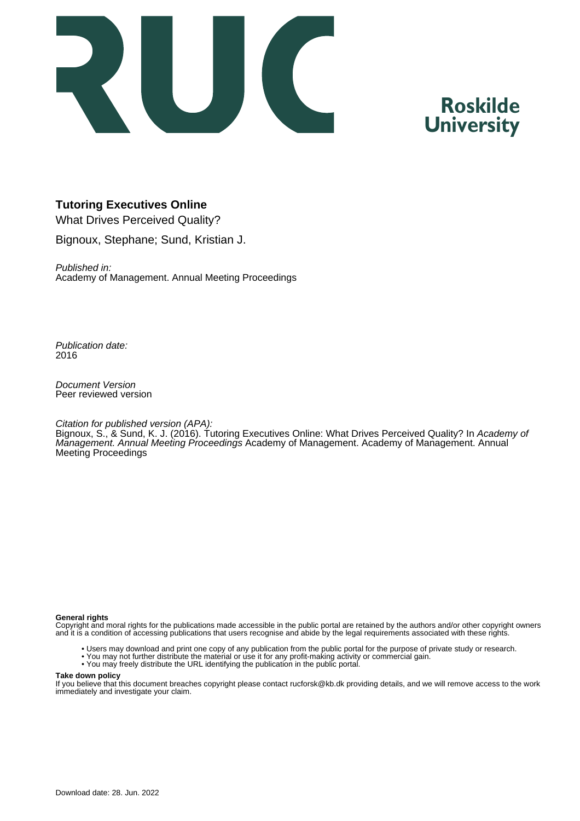

# **Roskilde University**

# **Tutoring Executives Online**

What Drives Perceived Quality? Bignoux, Stephane; Sund, Kristian J.

Published in: Academy of Management. Annual Meeting Proceedings

Publication date: 2016

Document Version Peer reviewed version

#### Citation for published version (APA):

Bignoux, S., & Sund, K. J. (2016). Tutoring Executives Online: What Drives Perceived Quality? In Academy of Management. Annual Meeting Proceedings Academy of Management. Academy of Management. Annual Meeting Proceedings

#### **General rights**

Copyright and moral rights for the publications made accessible in the public portal are retained by the authors and/or other copyright owners and it is a condition of accessing publications that users recognise and abide by the legal requirements associated with these rights.

- Users may download and print one copy of any publication from the public portal for the purpose of private study or research.
- You may not further distribute the material or use it for any profit-making activity or commercial gain.
- You may freely distribute the URL identifying the publication in the public portal.

#### **Take down policy**

If you believe that this document breaches copyright please contact rucforsk@kb.dk providing details, and we will remove access to the work immediately and investigate your claim.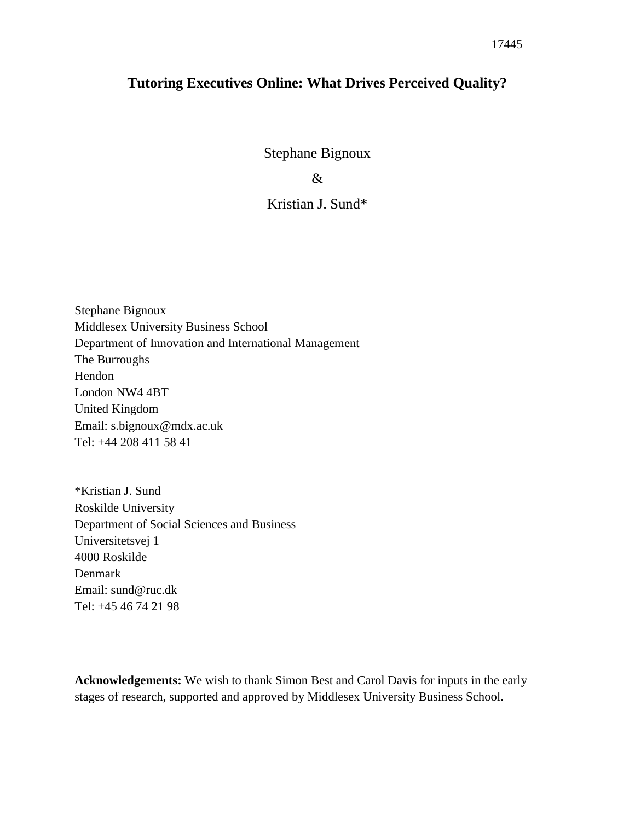# **Tutoring Executives Online: What Drives Perceived Quality?**

Stephane Bignoux

&

# Kristian J. Sund\*

Stephane Bignoux Middlesex University Business School Department of Innovation and International Management The Burroughs Hendon London NW4 4BT United Kingdom Email: s.bignoux@mdx.ac.uk Tel: +44 208 411 58 41

\*Kristian J. Sund Roskilde University Department of Social Sciences and Business Universitetsvej 1 4000 Roskilde Denmark Email: sund@ruc.dk Tel: +45 46 74 21 98

**Acknowledgements:** We wish to thank Simon Best and Carol Davis for inputs in the early stages of research, supported and approved by Middlesex University Business School.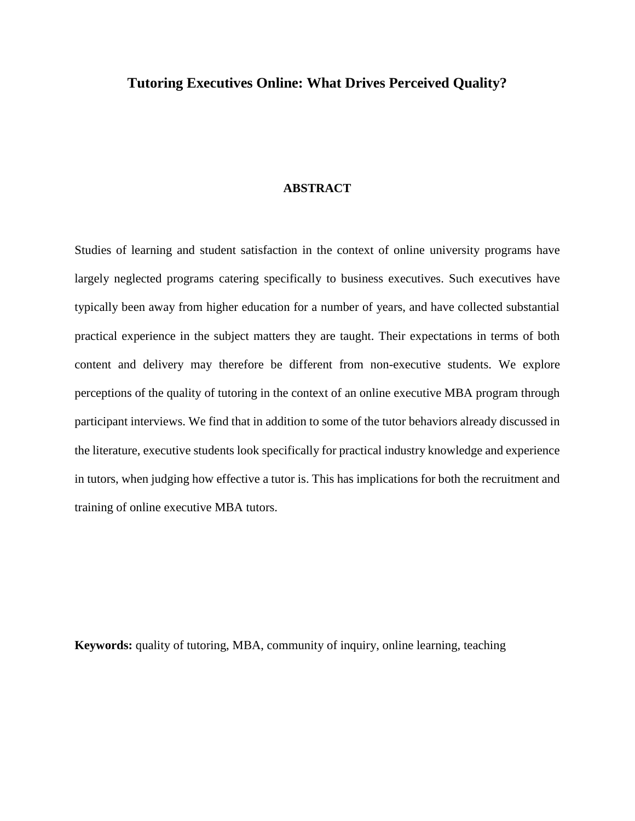# **Tutoring Executives Online: What Drives Perceived Quality?**

#### **ABSTRACT**

Studies of learning and student satisfaction in the context of online university programs have largely neglected programs catering specifically to business executives. Such executives have typically been away from higher education for a number of years, and have collected substantial practical experience in the subject matters they are taught. Their expectations in terms of both content and delivery may therefore be different from non-executive students. We explore perceptions of the quality of tutoring in the context of an online executive MBA program through participant interviews. We find that in addition to some of the tutor behaviors already discussed in the literature, executive students look specifically for practical industry knowledge and experience in tutors, when judging how effective a tutor is. This has implications for both the recruitment and training of online executive MBA tutors.

**Keywords:** quality of tutoring, MBA, community of inquiry, online learning, teaching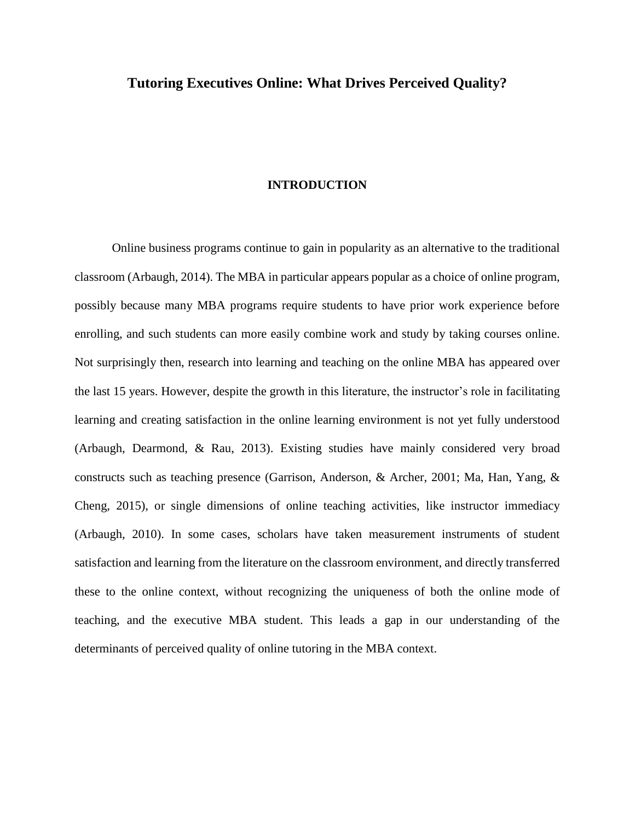# **Tutoring Executives Online: What Drives Perceived Quality?**

#### **INTRODUCTION**

Online business programs continue to gain in popularity as an alternative to the traditional classroom (Arbaugh, 2014). The MBA in particular appears popular as a choice of online program, possibly because many MBA programs require students to have prior work experience before enrolling, and such students can more easily combine work and study by taking courses online. Not surprisingly then, research into learning and teaching on the online MBA has appeared over the last 15 years. However, despite the growth in this literature, the instructor's role in facilitating learning and creating satisfaction in the online learning environment is not yet fully understood (Arbaugh, Dearmond, & Rau, 2013). Existing studies have mainly considered very broad constructs such as teaching presence (Garrison, Anderson, & Archer, 2001; Ma, Han, Yang, & Cheng, 2015), or single dimensions of online teaching activities, like instructor immediacy (Arbaugh, 2010). In some cases, scholars have taken measurement instruments of student satisfaction and learning from the literature on the classroom environment, and directly transferred these to the online context, without recognizing the uniqueness of both the online mode of teaching, and the executive MBA student. This leads a gap in our understanding of the determinants of perceived quality of online tutoring in the MBA context.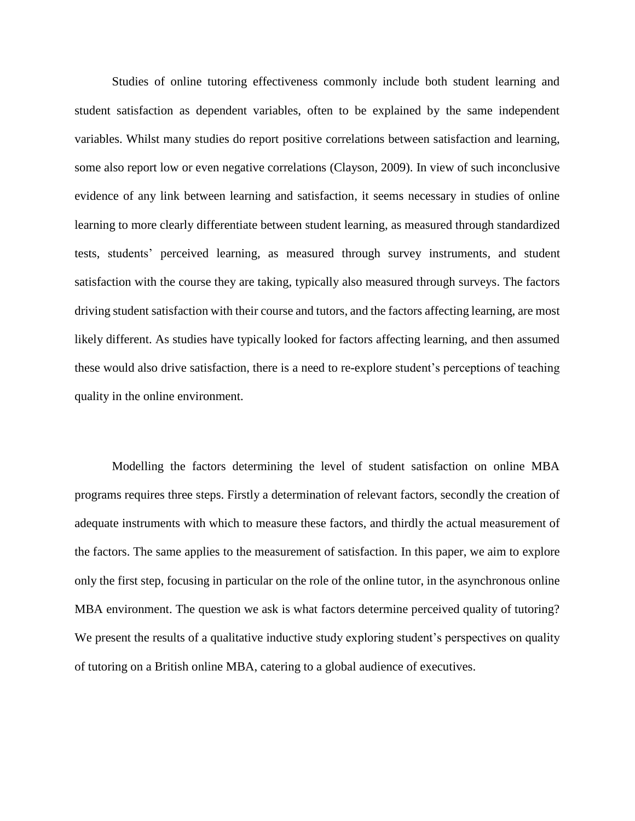Studies of online tutoring effectiveness commonly include both student learning and student satisfaction as dependent variables, often to be explained by the same independent variables. Whilst many studies do report positive correlations between satisfaction and learning, some also report low or even negative correlations (Clayson, 2009). In view of such inconclusive evidence of any link between learning and satisfaction, it seems necessary in studies of online learning to more clearly differentiate between student learning, as measured through standardized tests, students' perceived learning, as measured through survey instruments, and student satisfaction with the course they are taking, typically also measured through surveys. The factors driving student satisfaction with their course and tutors, and the factors affecting learning, are most likely different. As studies have typically looked for factors affecting learning, and then assumed these would also drive satisfaction, there is a need to re-explore student's perceptions of teaching quality in the online environment.

Modelling the factors determining the level of student satisfaction on online MBA programs requires three steps. Firstly a determination of relevant factors, secondly the creation of adequate instruments with which to measure these factors, and thirdly the actual measurement of the factors. The same applies to the measurement of satisfaction. In this paper, we aim to explore only the first step, focusing in particular on the role of the online tutor, in the asynchronous online MBA environment. The question we ask is what factors determine perceived quality of tutoring? We present the results of a qualitative inductive study exploring student's perspectives on quality of tutoring on a British online MBA, catering to a global audience of executives.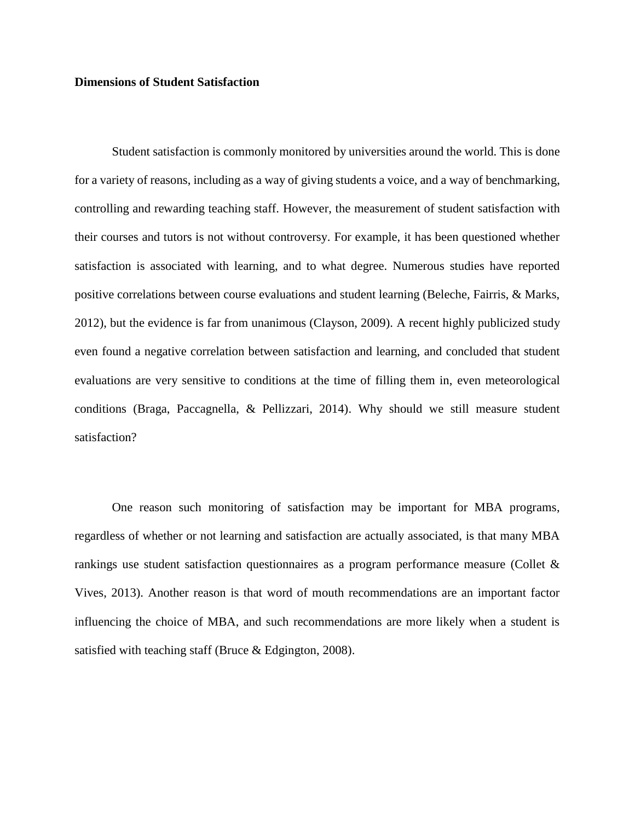#### **Dimensions of Student Satisfaction**

Student satisfaction is commonly monitored by universities around the world. This is done for a variety of reasons, including as a way of giving students a voice, and a way of benchmarking, controlling and rewarding teaching staff. However, the measurement of student satisfaction with their courses and tutors is not without controversy. For example, it has been questioned whether satisfaction is associated with learning, and to what degree. Numerous studies have reported positive correlations between course evaluations and student learning (Beleche, Fairris, & Marks, 2012), but the evidence is far from unanimous (Clayson, 2009). A recent highly publicized study even found a negative correlation between satisfaction and learning, and concluded that student evaluations are very sensitive to conditions at the time of filling them in, even meteorological conditions (Braga, Paccagnella, & Pellizzari, 2014). Why should we still measure student satisfaction?

One reason such monitoring of satisfaction may be important for MBA programs, regardless of whether or not learning and satisfaction are actually associated, is that many MBA rankings use student satisfaction questionnaires as a program performance measure (Collet & Vives, 2013). Another reason is that word of mouth recommendations are an important factor influencing the choice of MBA, and such recommendations are more likely when a student is satisfied with teaching staff (Bruce & Edgington, 2008).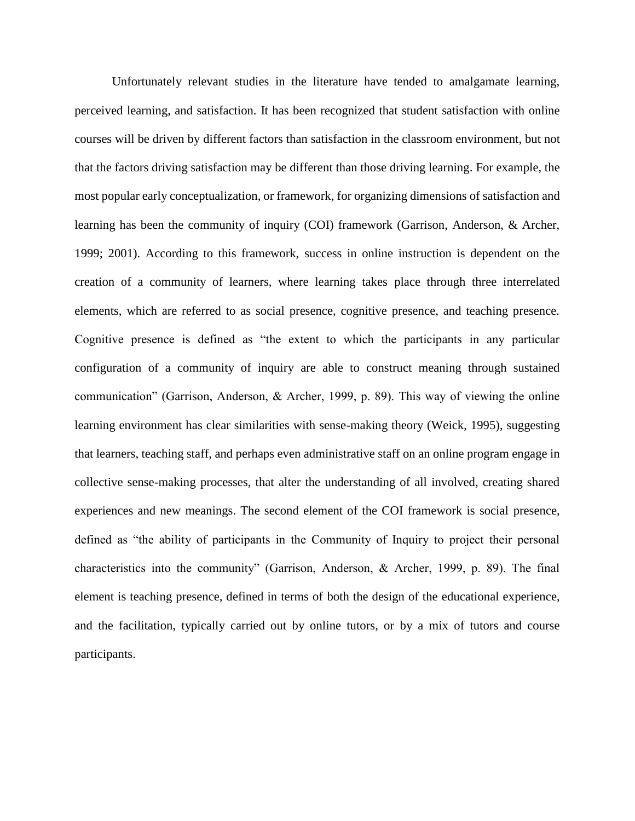Unfortunately relevant studies in the literature have tended to amalgamate learning, perceived learning, and satisfaction. It has been recognized that student satisfaction with online courses will be driven by different factors than satisfaction in the classroom environment, but not that the factors driving satisfaction may be different than those driving learning. For example, the most popular early conceptualization, or framework, for organizing dimensions of satisfaction and learning has been the community of inquiry (COI) framework (Garrison, Anderson, & Archer, 1999; 2001). According to this framework, success in online instruction is dependent on the creation of a community of learners, where learning takes place through three interrelated elements, which are referred to as social presence, cognitive presence, and teaching presence. Cognitive presence is defined as "the extent to which the participants in any particular configuration of a community of inquiry are able to construct meaning through sustained communication" (Garrison, Anderson, & Archer, 1999, p. 89). This way of viewing the online learning environment has clear similarities with sense-making theory (Weick, 1995), suggesting that learners, teaching staff, and perhaps even administrative staff on an online program engage in collective sense-making processes, that alter the understanding of all involved, creating shared experiences and new meanings. The second element of the COI framework is social presence, defined as "the ability of participants in the Community of Inquiry to project their personal characteristics into the community" (Garrison, Anderson, & Archer, 1999, p. 89). The final element is teaching presence, defined in terms of both the design of the educational experience, and the facilitation, typically carried out by online tutors, or by a mix of tutors and course participants.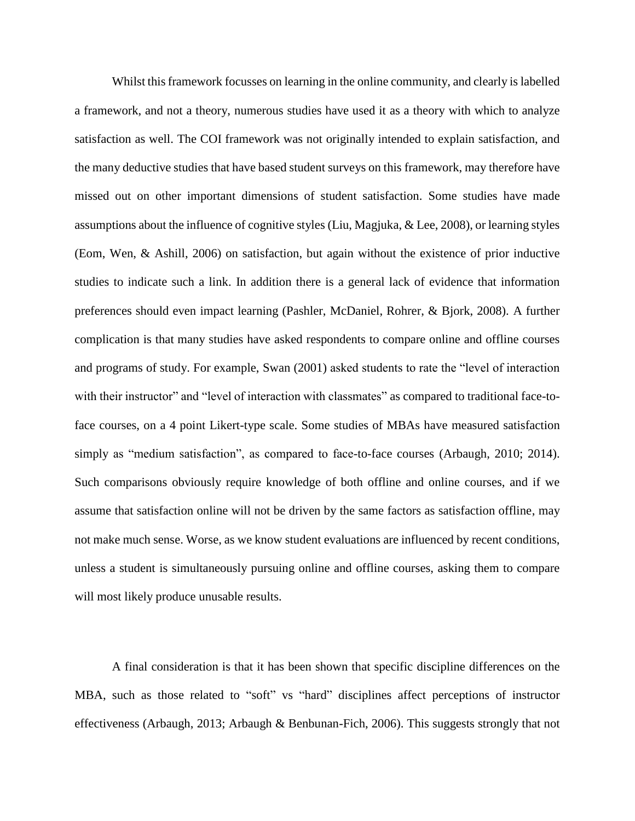Whilst this framework focusses on learning in the online community, and clearly is labelled a framework, and not a theory, numerous studies have used it as a theory with which to analyze satisfaction as well. The COI framework was not originally intended to explain satisfaction, and the many deductive studies that have based student surveys on this framework, may therefore have missed out on other important dimensions of student satisfaction. Some studies have made assumptions about the influence of cognitive styles (Liu, Magjuka, & Lee, 2008), or learning styles (Eom, Wen, & Ashill, 2006) on satisfaction, but again without the existence of prior inductive studies to indicate such a link. In addition there is a general lack of evidence that information preferences should even impact learning (Pashler, McDaniel, Rohrer, & Bjork, 2008). A further complication is that many studies have asked respondents to compare online and offline courses and programs of study. For example, Swan (2001) asked students to rate the "level of interaction with their instructor" and "level of interaction with classmates" as compared to traditional face-toface courses, on a 4 point Likert-type scale. Some studies of MBAs have measured satisfaction simply as "medium satisfaction", as compared to face-to-face courses (Arbaugh, 2010; 2014). Such comparisons obviously require knowledge of both offline and online courses, and if we assume that satisfaction online will not be driven by the same factors as satisfaction offline, may not make much sense. Worse, as we know student evaluations are influenced by recent conditions, unless a student is simultaneously pursuing online and offline courses, asking them to compare will most likely produce unusable results.

A final consideration is that it has been shown that specific discipline differences on the MBA, such as those related to "soft" vs "hard" disciplines affect perceptions of instructor effectiveness (Arbaugh, 2013; Arbaugh & Benbunan-Fich, 2006). This suggests strongly that not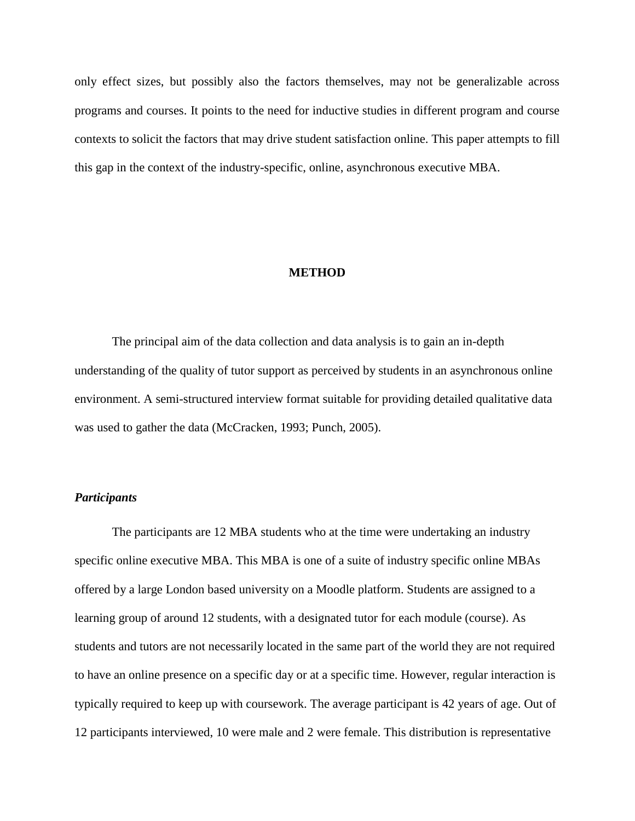only effect sizes, but possibly also the factors themselves, may not be generalizable across programs and courses. It points to the need for inductive studies in different program and course contexts to solicit the factors that may drive student satisfaction online. This paper attempts to fill this gap in the context of the industry-specific, online, asynchronous executive MBA.

#### **METHOD**

The principal aim of the data collection and data analysis is to gain an in-depth understanding of the quality of tutor support as perceived by students in an asynchronous online environment. A semi-structured interview format suitable for providing detailed qualitative data was used to gather the data (McCracken, 1993; Punch, 2005).

#### *Participants*

The participants are 12 MBA students who at the time were undertaking an industry specific online executive MBA. This MBA is one of a suite of industry specific online MBAs offered by a large London based university on a Moodle platform. Students are assigned to a learning group of around 12 students, with a designated tutor for each module (course). As students and tutors are not necessarily located in the same part of the world they are not required to have an online presence on a specific day or at a specific time. However, regular interaction is typically required to keep up with coursework. The average participant is 42 years of age. Out of 12 participants interviewed, 10 were male and 2 were female. This distribution is representative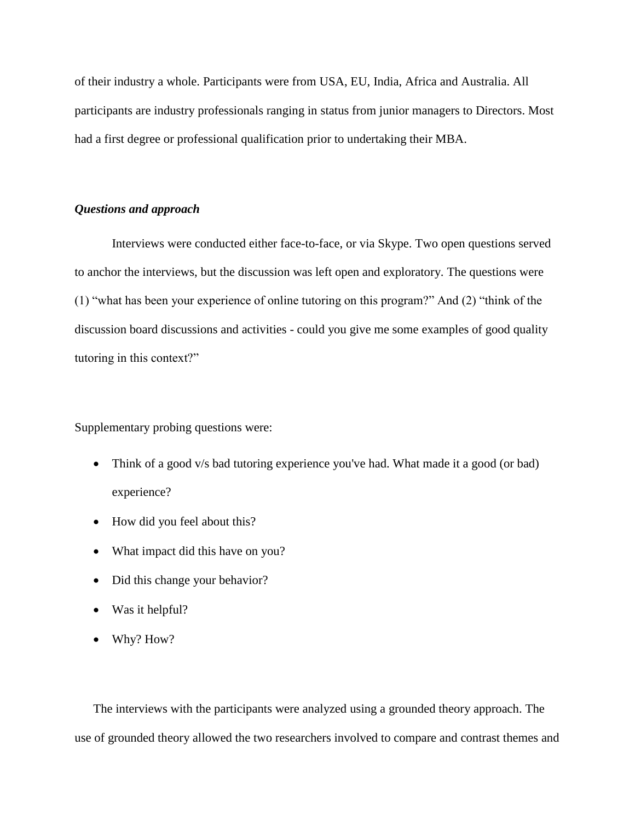of their industry a whole. Participants were from USA, EU, India, Africa and Australia. All participants are industry professionals ranging in status from junior managers to Directors. Most had a first degree or professional qualification prior to undertaking their MBA.

#### *Questions and approach*

Interviews were conducted either face-to-face, or via Skype. Two open questions served to anchor the interviews, but the discussion was left open and exploratory. The questions were (1) "what has been your experience of online tutoring on this program?" And (2) "think of the discussion board discussions and activities - could you give me some examples of good quality tutoring in this context?"

Supplementary probing questions were:

- Think of a good v/s bad tutoring experience you've had. What made it a good (or bad) experience?
- How did you feel about this?
- What impact did this have on you?
- Did this change your behavior?
- Was it helpful?
- Why? How?

The interviews with the participants were analyzed using a grounded theory approach. The use of grounded theory allowed the two researchers involved to compare and contrast themes and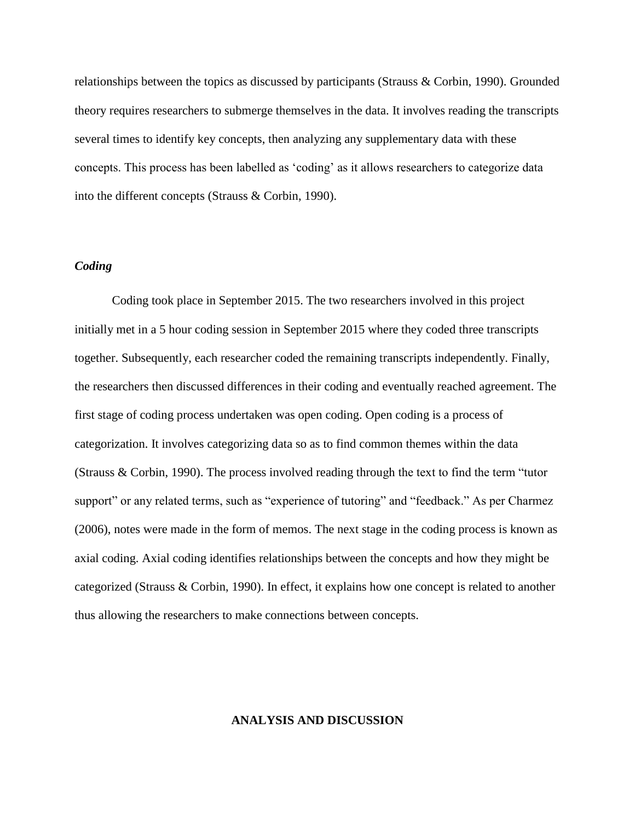relationships between the topics as discussed by participants (Strauss & Corbin, 1990). Grounded theory requires researchers to submerge themselves in the data. It involves reading the transcripts several times to identify key concepts, then analyzing any supplementary data with these concepts. This process has been labelled as 'coding' as it allows researchers to categorize data into the different concepts (Strauss & Corbin, 1990).

#### *Coding*

Coding took place in September 2015. The two researchers involved in this project initially met in a 5 hour coding session in September 2015 where they coded three transcripts together. Subsequently, each researcher coded the remaining transcripts independently. Finally, the researchers then discussed differences in their coding and eventually reached agreement. The first stage of coding process undertaken was open coding. Open coding is a process of categorization. It involves categorizing data so as to find common themes within the data (Strauss & Corbin, 1990). The process involved reading through the text to find the term "tutor support" or any related terms, such as "experience of tutoring" and "feedback." As per Charmez (2006), notes were made in the form of memos. The next stage in the coding process is known as axial coding. Axial coding identifies relationships between the concepts and how they might be categorized (Strauss & Corbin, 1990). In effect, it explains how one concept is related to another thus allowing the researchers to make connections between concepts.

#### **ANALYSIS AND DISCUSSION**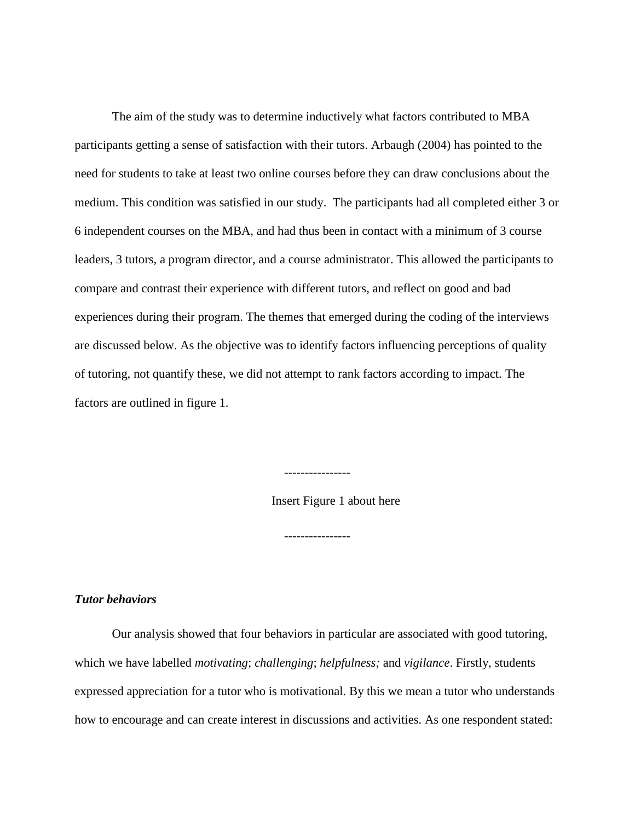The aim of the study was to determine inductively what factors contributed to MBA participants getting a sense of satisfaction with their tutors. Arbaugh (2004) has pointed to the need for students to take at least two online courses before they can draw conclusions about the medium. This condition was satisfied in our study. The participants had all completed either 3 or 6 independent courses on the MBA, and had thus been in contact with a minimum of 3 course leaders, 3 tutors, a program director, and a course administrator. This allowed the participants to compare and contrast their experience with different tutors, and reflect on good and bad experiences during their program. The themes that emerged during the coding of the interviews are discussed below. As the objective was to identify factors influencing perceptions of quality of tutoring, not quantify these, we did not attempt to rank factors according to impact. The factors are outlined in figure 1.

Insert Figure 1 about here

----------------

----------------

## *Tutor behaviors*

Our analysis showed that four behaviors in particular are associated with good tutoring, which we have labelled *motivating*; *challenging*; *helpfulness;* and *vigilance*. Firstly, students expressed appreciation for a tutor who is motivational. By this we mean a tutor who understands how to encourage and can create interest in discussions and activities. As one respondent stated: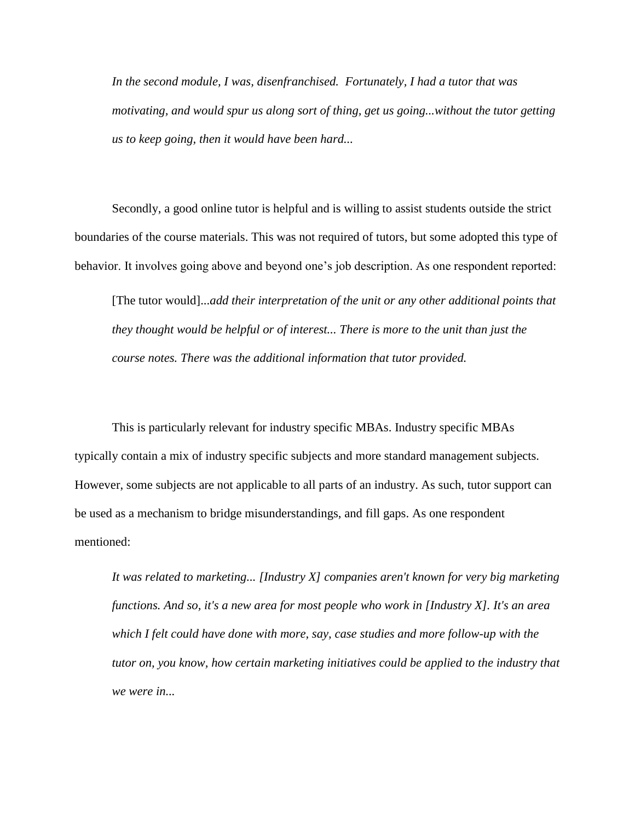*In the second module, I was, disenfranchised. Fortunately, I had a tutor that was motivating, and would spur us along sort of thing, get us going...without the tutor getting us to keep going, then it would have been hard...*

Secondly, a good online tutor is helpful and is willing to assist students outside the strict boundaries of the course materials. This was not required of tutors, but some adopted this type of behavior. It involves going above and beyond one's job description. As one respondent reported:

[The tutor would]...*add their interpretation of the unit or any other additional points that they thought would be helpful or of interest... There is more to the unit than just the course notes. There was the additional information that tutor provided.*

This is particularly relevant for industry specific MBAs. Industry specific MBAs typically contain a mix of industry specific subjects and more standard management subjects. However, some subjects are not applicable to all parts of an industry. As such, tutor support can be used as a mechanism to bridge misunderstandings, and fill gaps. As one respondent mentioned:

*It was related to marketing... [Industry X] companies aren't known for very big marketing functions. And so, it's a new area for most people who work in [Industry X]. It's an area which I felt could have done with more, say, case studies and more follow-up with the tutor on, you know, how certain marketing initiatives could be applied to the industry that we were in...*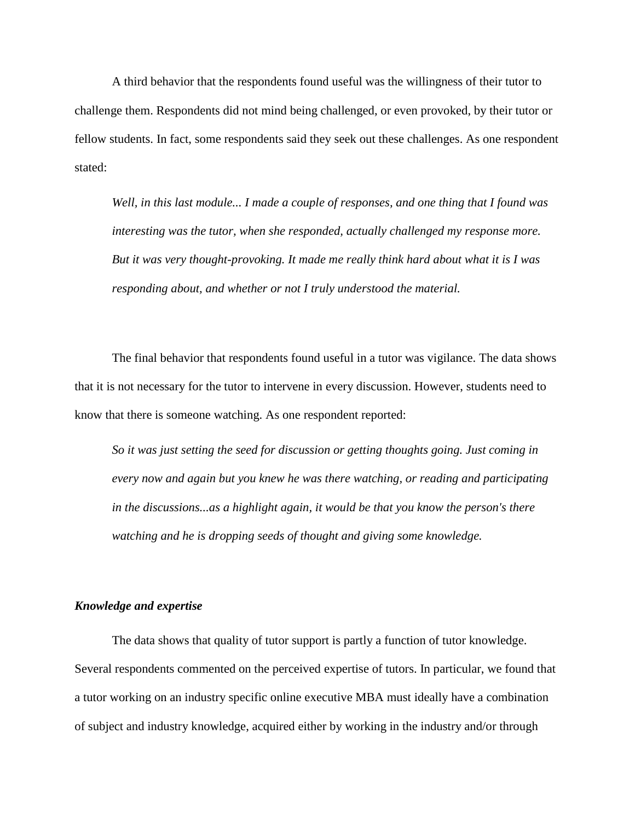A third behavior that the respondents found useful was the willingness of their tutor to challenge them. Respondents did not mind being challenged, or even provoked, by their tutor or fellow students. In fact, some respondents said they seek out these challenges. As one respondent stated:

*Well, in this last module... I made a couple of responses, and one thing that I found was interesting was the tutor, when she responded, actually challenged my response more. But it was very thought-provoking. It made me really think hard about what it is I was responding about, and whether or not I truly understood the material.*

The final behavior that respondents found useful in a tutor was vigilance. The data shows that it is not necessary for the tutor to intervene in every discussion. However, students need to know that there is someone watching. As one respondent reported:

*So it was just setting the seed for discussion or getting thoughts going. Just coming in every now and again but you knew he was there watching, or reading and participating in the discussions...as a highlight again, it would be that you know the person's there watching and he is dropping seeds of thought and giving some knowledge.*

#### *Knowledge and expertise*

The data shows that quality of tutor support is partly a function of tutor knowledge. Several respondents commented on the perceived expertise of tutors. In particular, we found that a tutor working on an industry specific online executive MBA must ideally have a combination of subject and industry knowledge, acquired either by working in the industry and/or through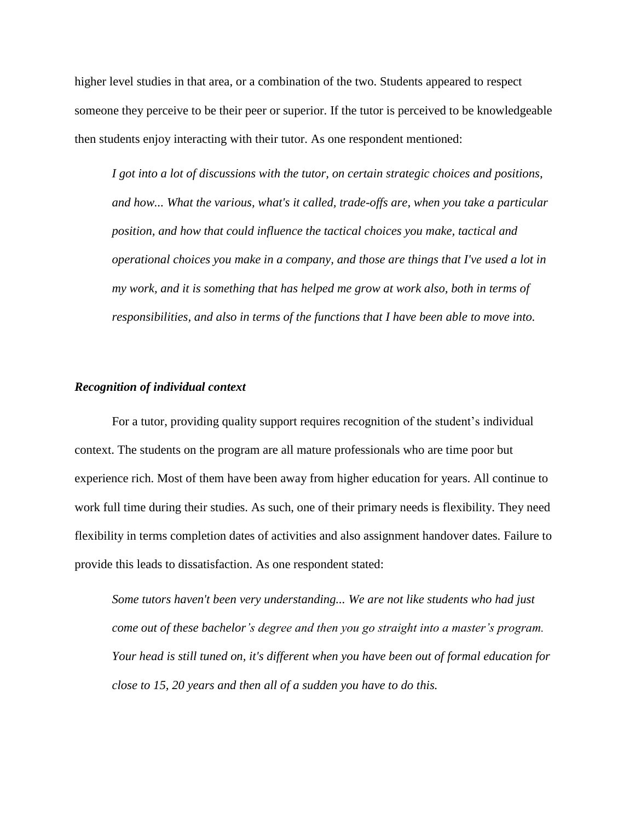higher level studies in that area, or a combination of the two. Students appeared to respect someone they perceive to be their peer or superior. If the tutor is perceived to be knowledgeable then students enjoy interacting with their tutor. As one respondent mentioned:

*I got into a lot of discussions with the tutor, on certain strategic choices and positions, and how... What the various, what's it called, trade-offs are, when you take a particular position, and how that could influence the tactical choices you make, tactical and operational choices you make in a company, and those are things that I've used a lot in my work, and it is something that has helped me grow at work also, both in terms of responsibilities, and also in terms of the functions that I have been able to move into.* 

#### *Recognition of individual context*

For a tutor, providing quality support requires recognition of the student's individual context. The students on the program are all mature professionals who are time poor but experience rich. Most of them have been away from higher education for years. All continue to work full time during their studies. As such, one of their primary needs is flexibility. They need flexibility in terms completion dates of activities and also assignment handover dates. Failure to provide this leads to dissatisfaction. As one respondent stated:

*Some tutors haven't been very understanding... We are not like students who had just come out of these bachelor's degree and then you go straight into a master's program. Your head is still tuned on, it's different when you have been out of formal education for close to 15, 20 years and then all of a sudden you have to do this.*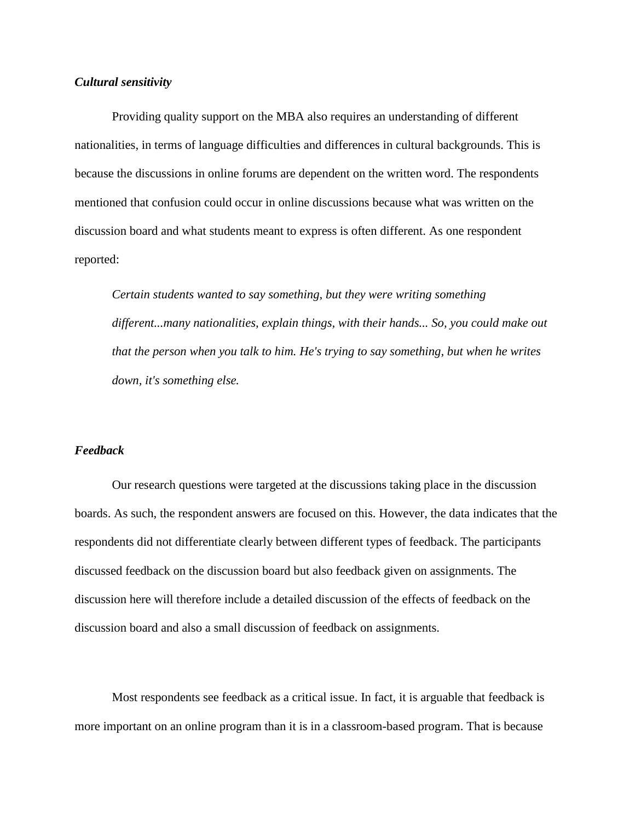#### *Cultural sensitivity*

Providing quality support on the MBA also requires an understanding of different nationalities, in terms of language difficulties and differences in cultural backgrounds. This is because the discussions in online forums are dependent on the written word. The respondents mentioned that confusion could occur in online discussions because what was written on the discussion board and what students meant to express is often different. As one respondent reported:

*Certain students wanted to say something, but they were writing something different...many nationalities, explain things, with their hands... So, you could make out that the person when you talk to him. He's trying to say something, but when he writes down, it's something else.*

## *Feedback*

Our research questions were targeted at the discussions taking place in the discussion boards. As such, the respondent answers are focused on this. However, the data indicates that the respondents did not differentiate clearly between different types of feedback. The participants discussed feedback on the discussion board but also feedback given on assignments. The discussion here will therefore include a detailed discussion of the effects of feedback on the discussion board and also a small discussion of feedback on assignments.

Most respondents see feedback as a critical issue. In fact, it is arguable that feedback is more important on an online program than it is in a classroom-based program. That is because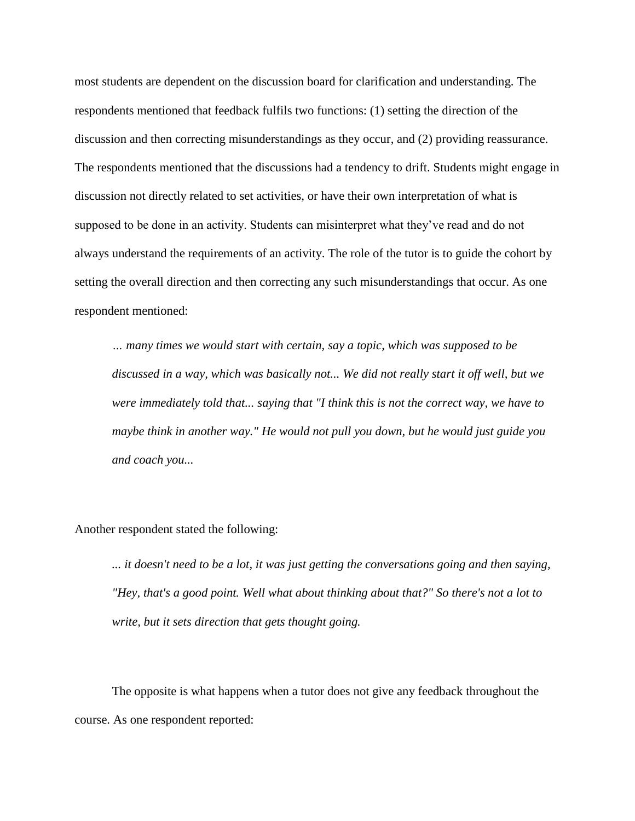most students are dependent on the discussion board for clarification and understanding. The respondents mentioned that feedback fulfils two functions: (1) setting the direction of the discussion and then correcting misunderstandings as they occur, and (2) providing reassurance. The respondents mentioned that the discussions had a tendency to drift. Students might engage in discussion not directly related to set activities, or have their own interpretation of what is supposed to be done in an activity. Students can misinterpret what they've read and do not always understand the requirements of an activity. The role of the tutor is to guide the cohort by setting the overall direction and then correcting any such misunderstandings that occur. As one respondent mentioned:

*… many times we would start with certain, say a topic, which was supposed to be discussed in a way, which was basically not... We did not really start it off well, but we were immediately told that... saying that "I think this is not the correct way, we have to maybe think in another way." He would not pull you down, but he would just guide you and coach you...*

Another respondent stated the following:

*... it doesn't need to be a lot, it was just getting the conversations going and then saying, "Hey, that's a good point. Well what about thinking about that?" So there's not a lot to write, but it sets direction that gets thought going.*

The opposite is what happens when a tutor does not give any feedback throughout the course. As one respondent reported: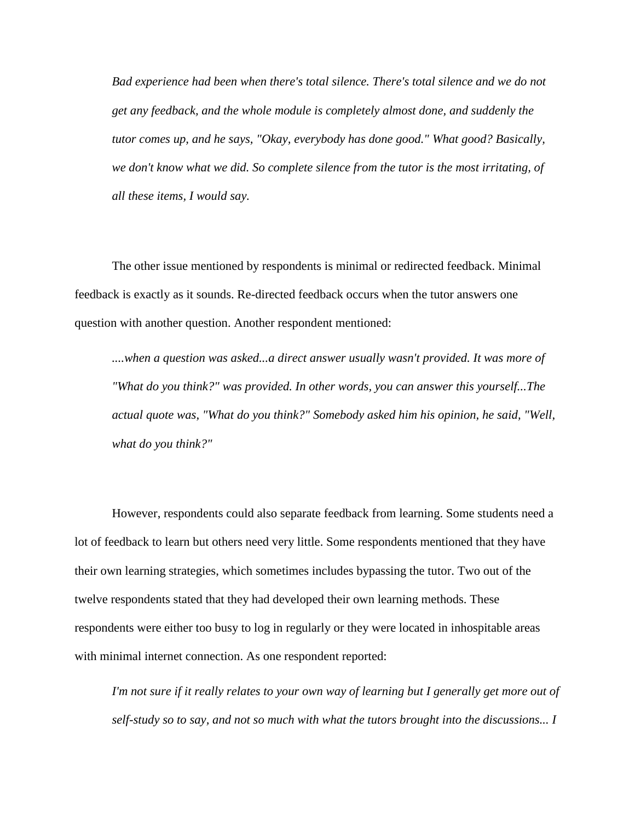*Bad experience had been when there's total silence. There's total silence and we do not get any feedback, and the whole module is completely almost done, and suddenly the tutor comes up, and he says, "Okay, everybody has done good." What good? Basically, we don't know what we did. So complete silence from the tutor is the most irritating, of all these items, I would say.*

The other issue mentioned by respondents is minimal or redirected feedback. Minimal feedback is exactly as it sounds. Re-directed feedback occurs when the tutor answers one question with another question. Another respondent mentioned:

*....when a question was asked...a direct answer usually wasn't provided. It was more of "What do you think?" was provided. In other words, you can answer this yourself...The actual quote was, "What do you think?" Somebody asked him his opinion, he said, "Well, what do you think?"*

However, respondents could also separate feedback from learning. Some students need a lot of feedback to learn but others need very little. Some respondents mentioned that they have their own learning strategies, which sometimes includes bypassing the tutor. Two out of the twelve respondents stated that they had developed their own learning methods. These respondents were either too busy to log in regularly or they were located in inhospitable areas with minimal internet connection. As one respondent reported:

*I'm not sure if it really relates to your own way of learning but I generally get more out of self-study so to say, and not so much with what the tutors brought into the discussions... I*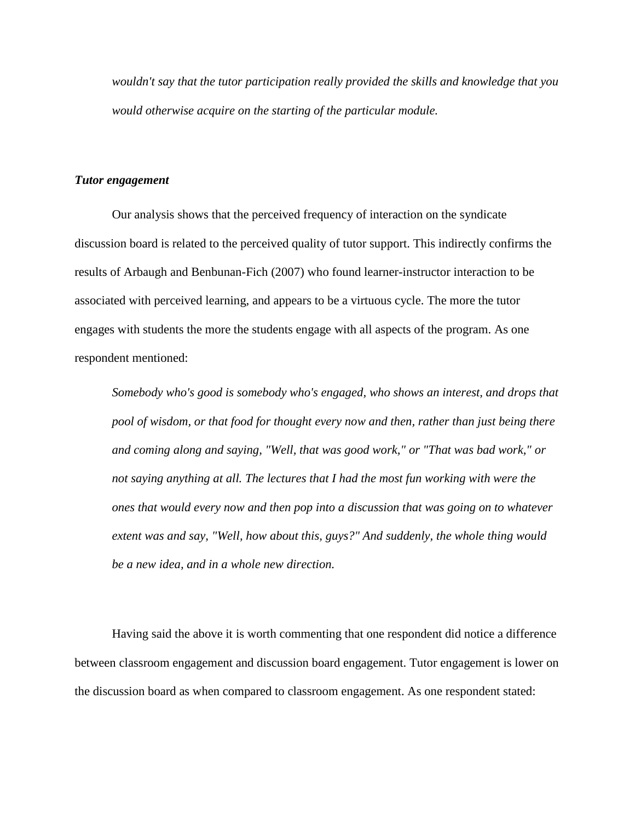*wouldn't say that the tutor participation really provided the skills and knowledge that you would otherwise acquire on the starting of the particular module.*

#### *Tutor engagement*

Our analysis shows that the perceived frequency of interaction on the syndicate discussion board is related to the perceived quality of tutor support. This indirectly confirms the results of Arbaugh and Benbunan-Fich (2007) who found learner-instructor interaction to be associated with perceived learning, and appears to be a virtuous cycle. The more the tutor engages with students the more the students engage with all aspects of the program. As one respondent mentioned:

*Somebody who's good is somebody who's engaged, who shows an interest, and drops that pool of wisdom, or that food for thought every now and then, rather than just being there and coming along and saying, "Well, that was good work," or "That was bad work," or not saying anything at all. The lectures that I had the most fun working with were the ones that would every now and then pop into a discussion that was going on to whatever extent was and say, "Well, how about this, guys?" And suddenly, the whole thing would be a new idea, and in a whole new direction.* 

Having said the above it is worth commenting that one respondent did notice a difference between classroom engagement and discussion board engagement. Tutor engagement is lower on the discussion board as when compared to classroom engagement. As one respondent stated: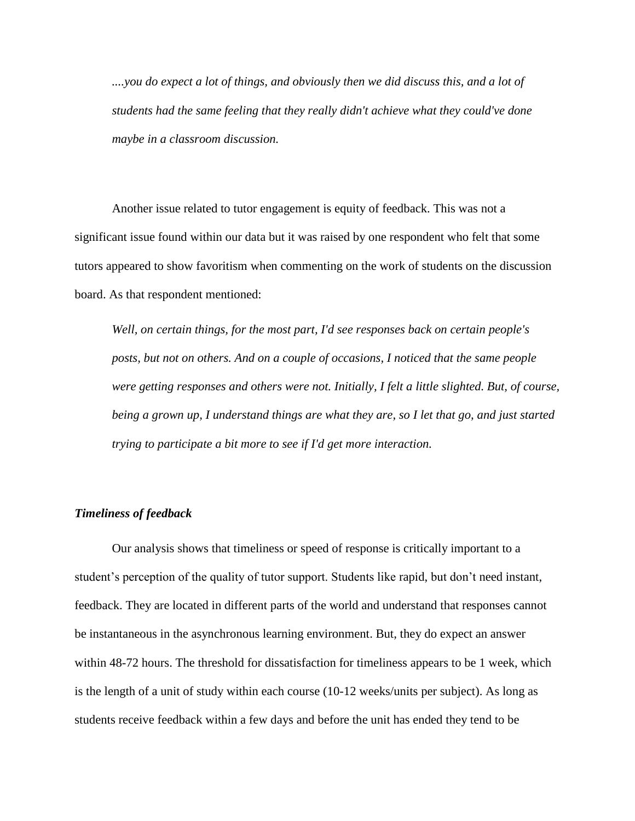*....you do expect a lot of things, and obviously then we did discuss this, and a lot of students had the same feeling that they really didn't achieve what they could've done maybe in a classroom discussion.*

Another issue related to tutor engagement is equity of feedback. This was not a significant issue found within our data but it was raised by one respondent who felt that some tutors appeared to show favoritism when commenting on the work of students on the discussion board. As that respondent mentioned:

*Well, on certain things, for the most part, I'd see responses back on certain people's posts, but not on others. And on a couple of occasions, I noticed that the same people were getting responses and others were not. Initially, I felt a little slighted. But, of course, being a grown up, I understand things are what they are, so I let that go, and just started trying to participate a bit more to see if I'd get more interaction.*

#### *Timeliness of feedback*

Our analysis shows that timeliness or speed of response is critically important to a student's perception of the quality of tutor support. Students like rapid, but don't need instant, feedback. They are located in different parts of the world and understand that responses cannot be instantaneous in the asynchronous learning environment. But, they do expect an answer within 48-72 hours. The threshold for dissatisfaction for timeliness appears to be 1 week, which is the length of a unit of study within each course (10-12 weeks/units per subject). As long as students receive feedback within a few days and before the unit has ended they tend to be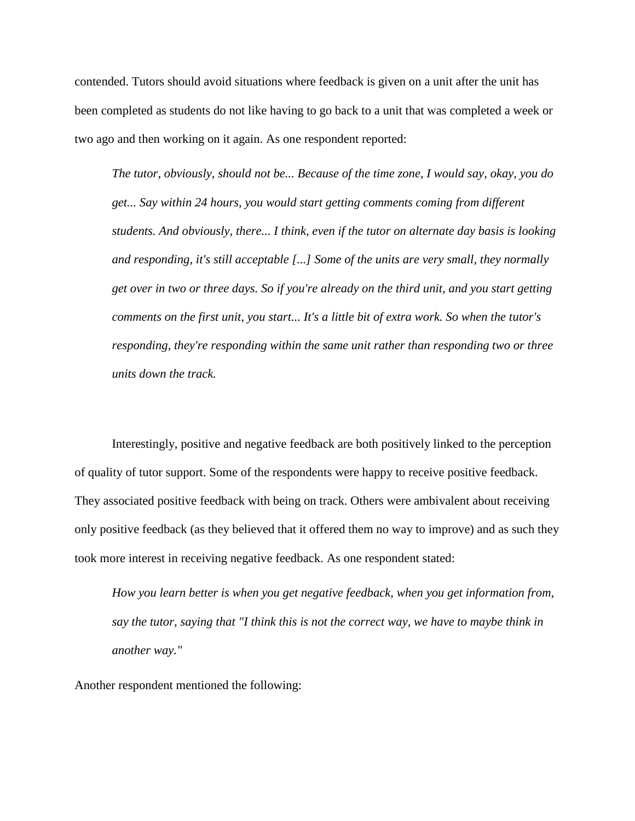contended. Tutors should avoid situations where feedback is given on a unit after the unit has been completed as students do not like having to go back to a unit that was completed a week or two ago and then working on it again. As one respondent reported:

*The tutor, obviously, should not be... Because of the time zone, I would say, okay, you do get... Say within 24 hours, you would start getting comments coming from different students. And obviously, there... I think, even if the tutor on alternate day basis is looking and responding, it's still acceptable [...] Some of the units are very small, they normally get over in two or three days. So if you're already on the third unit, and you start getting comments on the first unit, you start... It's a little bit of extra work. So when the tutor's responding, they're responding within the same unit rather than responding two or three units down the track.*

Interestingly, positive and negative feedback are both positively linked to the perception of quality of tutor support. Some of the respondents were happy to receive positive feedback. They associated positive feedback with being on track. Others were ambivalent about receiving only positive feedback (as they believed that it offered them no way to improve) and as such they took more interest in receiving negative feedback. As one respondent stated:

*How you learn better is when you get negative feedback, when you get information from, say the tutor, saying that "I think this is not the correct way, we have to maybe think in another way."*

Another respondent mentioned the following: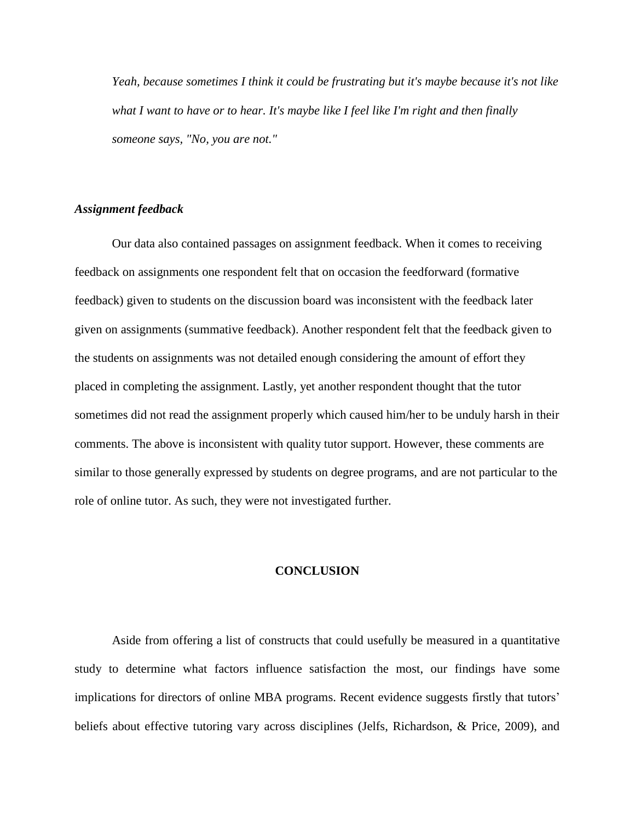*Yeah, because sometimes I think it could be frustrating but it's maybe because it's not like what I want to have or to hear. It's maybe like I feel like I'm right and then finally someone says, "No, you are not."*

#### *Assignment feedback*

Our data also contained passages on assignment feedback. When it comes to receiving feedback on assignments one respondent felt that on occasion the feedforward (formative feedback) given to students on the discussion board was inconsistent with the feedback later given on assignments (summative feedback). Another respondent felt that the feedback given to the students on assignments was not detailed enough considering the amount of effort they placed in completing the assignment. Lastly, yet another respondent thought that the tutor sometimes did not read the assignment properly which caused him/her to be unduly harsh in their comments. The above is inconsistent with quality tutor support. However, these comments are similar to those generally expressed by students on degree programs, and are not particular to the role of online tutor. As such, they were not investigated further.

#### **CONCLUSION**

Aside from offering a list of constructs that could usefully be measured in a quantitative study to determine what factors influence satisfaction the most, our findings have some implications for directors of online MBA programs. Recent evidence suggests firstly that tutors' beliefs about effective tutoring vary across disciplines (Jelfs, Richardson, & Price, 2009), and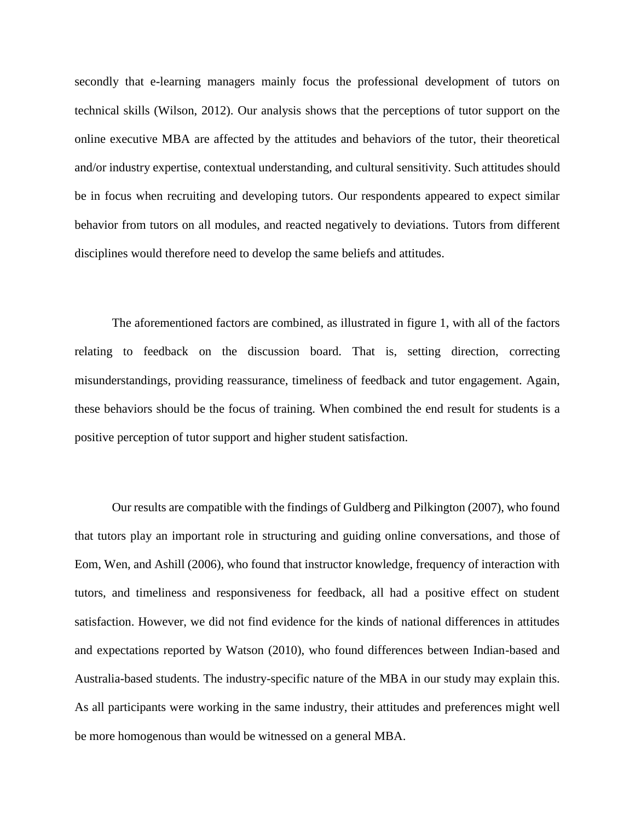secondly that e-learning managers mainly focus the professional development of tutors on technical skills (Wilson, 2012). Our analysis shows that the perceptions of tutor support on the online executive MBA are affected by the attitudes and behaviors of the tutor, their theoretical and/or industry expertise, contextual understanding, and cultural sensitivity. Such attitudes should be in focus when recruiting and developing tutors. Our respondents appeared to expect similar behavior from tutors on all modules, and reacted negatively to deviations. Tutors from different disciplines would therefore need to develop the same beliefs and attitudes.

The aforementioned factors are combined, as illustrated in figure 1, with all of the factors relating to feedback on the discussion board. That is, setting direction, correcting misunderstandings, providing reassurance, timeliness of feedback and tutor engagement. Again, these behaviors should be the focus of training. When combined the end result for students is a positive perception of tutor support and higher student satisfaction.

Our results are compatible with the findings of Guldberg and Pilkington (2007), who found that tutors play an important role in structuring and guiding online conversations, and those of Eom, Wen, and Ashill (2006), who found that instructor knowledge, frequency of interaction with tutors, and timeliness and responsiveness for feedback, all had a positive effect on student satisfaction. However, we did not find evidence for the kinds of national differences in attitudes and expectations reported by Watson (2010), who found differences between Indian-based and Australia-based students. The industry-specific nature of the MBA in our study may explain this. As all participants were working in the same industry, their attitudes and preferences might well be more homogenous than would be witnessed on a general MBA.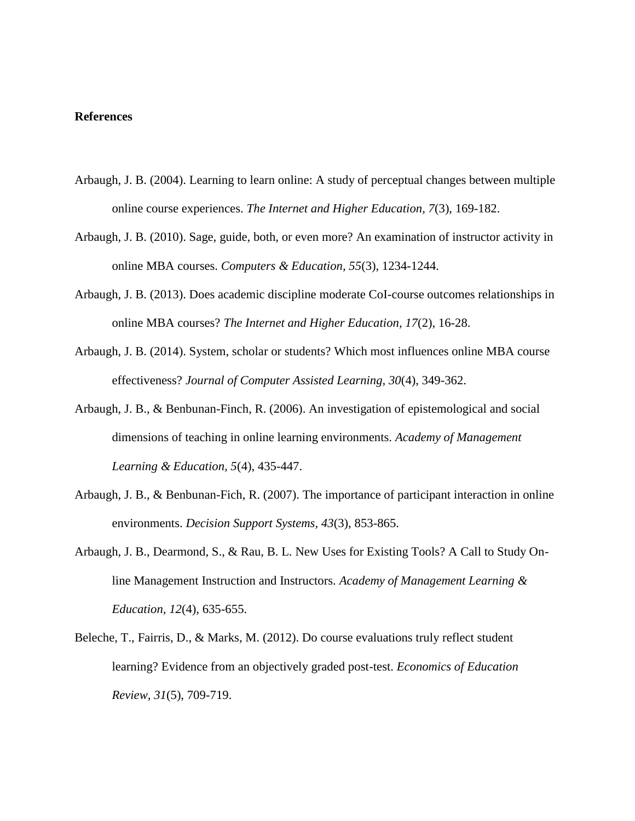#### **References**

- Arbaugh, J. B. (2004). Learning to learn online: A study of perceptual changes between multiple online course experiences. *The Internet and Higher Education, 7*(3), 169-182.
- Arbaugh, J. B. (2010). Sage, guide, both, or even more? An examination of instructor activity in online MBA courses. *Computers & Education, 55*(3), 1234-1244.
- Arbaugh, J. B. (2013). Does academic discipline moderate CoI-course outcomes relationships in online MBA courses? *The Internet and Higher Education, 17*(2), 16-28.
- Arbaugh, J. B. (2014). System, scholar or students? Which most influences online MBA course effectiveness? *Journal of Computer Assisted Learning, 30*(4), 349-362.
- Arbaugh, J. B., & Benbunan-Finch, R. (2006). An investigation of epistemological and social dimensions of teaching in online learning environments. *Academy of Management Learning & Education, 5*(4), 435-447.
- Arbaugh, J. B., & Benbunan-Fich, R. (2007). The importance of participant interaction in online environments. *Decision Support Systems, 43*(3), 853-865.
- Arbaugh, J. B., Dearmond, S., & Rau, B. L. New Uses for Existing Tools? A Call to Study Online Management Instruction and Instructors. *Academy of Management Learning & Education, 12*(4), 635-655.
- Beleche, T., Fairris, D., & Marks, M. (2012). Do course evaluations truly reflect student learning? Evidence from an objectively graded post-test. *Economics of Education Review, 31*(5), 709-719.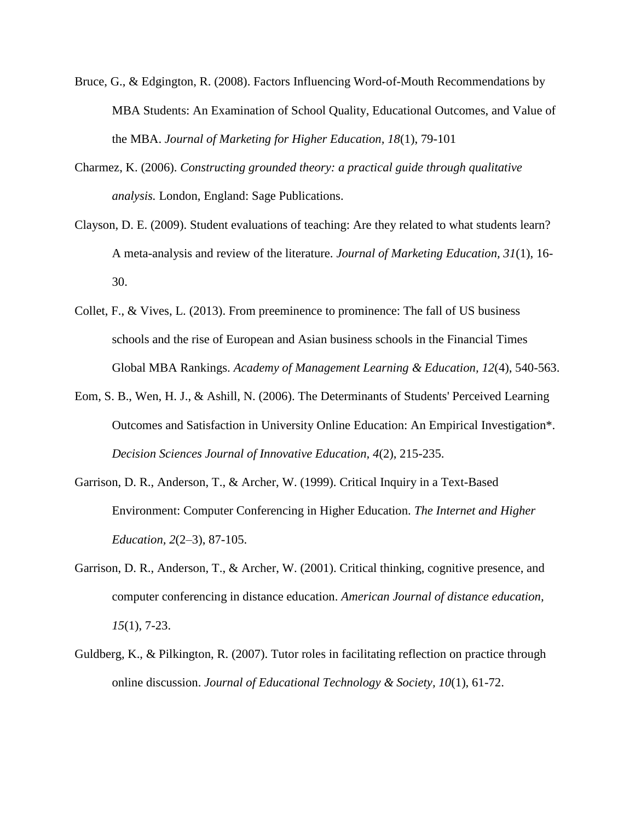- Bruce, G., & Edgington, R. (2008). Factors Influencing Word-of-Mouth Recommendations by MBA Students: An Examination of School Quality, Educational Outcomes, and Value of the MBA. *Journal of Marketing for Higher Education, 18*(1), 79-101
- Charmez, K. (2006). *Constructing grounded theory: a practical guide through qualitative analysis.* London, England: Sage Publications.
- Clayson, D. E. (2009). Student evaluations of teaching: Are they related to what students learn? A meta-analysis and review of the literature. *Journal of Marketing Education, 31*(1), 16- 30.
- Collet, F., & Vives, L. (2013). From preeminence to prominence: The fall of US business schools and the rise of European and Asian business schools in the Financial Times Global MBA Rankings. *Academy of Management Learning & Education, 12*(4), 540-563.
- Eom, S. B., Wen, H. J., & Ashill, N. (2006). The Determinants of Students' Perceived Learning Outcomes and Satisfaction in University Online Education: An Empirical Investigation\*. *Decision Sciences Journal of Innovative Education, 4*(2), 215-235.
- Garrison, D. R., Anderson, T., & Archer, W. (1999). Critical Inquiry in a Text-Based Environment: Computer Conferencing in Higher Education. *The Internet and Higher Education, 2*(2–3), 87-105.
- Garrison, D. R., Anderson, T., & Archer, W. (2001). Critical thinking, cognitive presence, and computer conferencing in distance education. *American Journal of distance education, 15*(1), 7-23.
- Guldberg, K., & Pilkington, R. (2007). Tutor roles in facilitating reflection on practice through online discussion. *Journal of Educational Technology & Society, 10*(1), 61-72.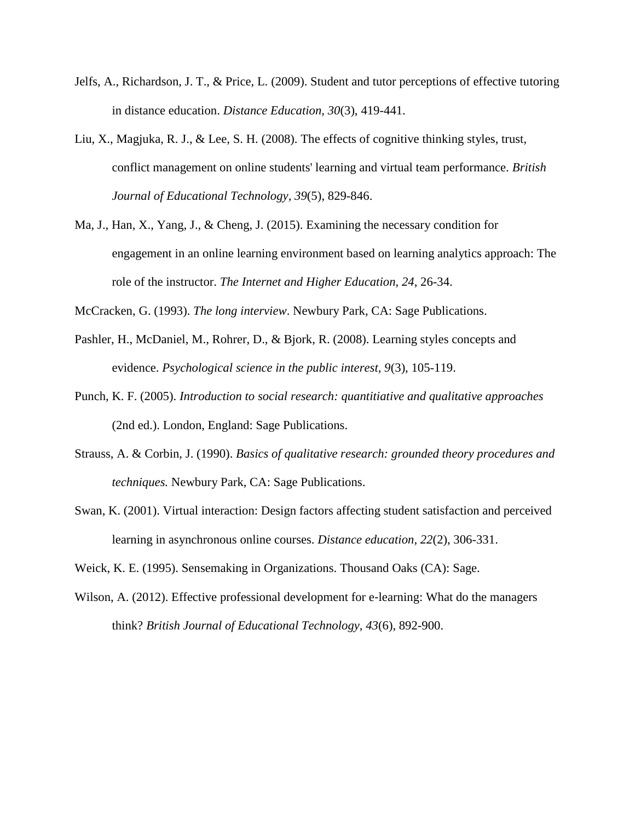- Jelfs, A., Richardson, J. T., & Price, L. (2009). Student and tutor perceptions of effective tutoring in distance education. *Distance Education, 30*(3), 419-441.
- Liu, X., Magjuka, R. J., & Lee, S. H. (2008). The effects of cognitive thinking styles, trust, conflict management on online students' learning and virtual team performance. *British Journal of Educational Technology, 39*(5), 829-846.
- Ma, J., Han, X., Yang, J., & Cheng, J. (2015). Examining the necessary condition for engagement in an online learning environment based on learning analytics approach: The role of the instructor. *The Internet and Higher Education, 24*, 26-34.

McCracken, G. (1993). *The long interview*. Newbury Park, CA: Sage Publications.

- Pashler, H., McDaniel, M., Rohrer, D., & Bjork, R. (2008). Learning styles concepts and evidence. *Psychological science in the public interest, 9*(3), 105-119.
- Punch, K. F. (2005). *Introduction to social research: quantitiative and qualitative approaches* (2nd ed.). London, England: Sage Publications.
- Strauss, A. & Corbin, J. (1990). *Basics of qualitative research: grounded theory procedures and techniques.* Newbury Park, CA: Sage Publications.
- Swan, K. (2001). Virtual interaction: Design factors affecting student satisfaction and perceived learning in asynchronous online courses. *Distance education, 22*(2), 306-331.

Weick, K. E. (1995). Sensemaking in Organizations. Thousand Oaks (CA): Sage.

Wilson, A. (2012). Effective professional development for e-learning: What do the managers think? *British Journal of Educational Technology, 43*(6), 892-900.